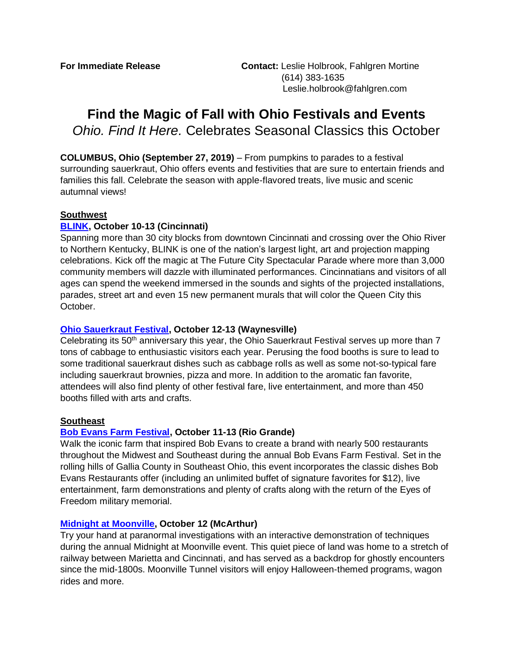# **Find the Magic of Fall with Ohio Festivals and Events** *Ohio. Find It Here.* Celebrates Seasonal Classics this October

**COLUMBUS, Ohio (September 27, 2019)** – From pumpkins to parades to a festival surrounding sauerkraut, Ohio offers events and festivities that are sure to entertain friends and families this fall. Celebrate the season with apple-flavored treats, live music and scenic autumnal views!

## **Southwest**

# **[BLINK,](https://www.blinkcincinnati.com/) October 10-13 (Cincinnati)**

Spanning more than 30 city blocks from downtown Cincinnati and crossing over the Ohio River to Northern Kentucky, BLINK is one of the nation's largest light, art and projection mapping celebrations. Kick off the magic at The Future City Spectacular Parade where more than 3,000 community members will dazzle with illuminated performances. Cincinnatians and visitors of all ages can spend the weekend immersed in the sounds and sights of the projected installations, parades, street art and even 15 new permanent murals that will color the Queen City this October.

## **[Ohio Sauerkraut Festival,](https://ohio.org/festivals-events/event/ohio-sauerkraut-festival/) October 12-13 (Waynesville)**

Celebrating its 50<sup>th</sup> anniversary this year, the Ohio Sauerkraut Festival serves up more than 7 tons of cabbage to enthusiastic visitors each year. Perusing the food booths is sure to lead to some traditional sauerkraut dishes such as cabbage rolls as well as some not-so-typical fare including sauerkraut brownies, pizza and more. In addition to the aromatic fan favorite, attendees will also find plenty of other festival fare, live entertainment, and more than 450 booths filled with arts and crafts.

# **Southeast**

# **[Bob Evans Farm Festival,](https://ohio.org/festivals-events/event/bob-evans-farm-festival/) October 11-13 (Rio Grande)**

Walk the iconic farm that inspired Bob Evans to create a brand with nearly 500 restaurants throughout the Midwest and Southeast during the annual Bob Evans Farm Festival. Set in the rolling hills of Gallia County in Southeast Ohio, this event incorporates the classic dishes Bob Evans Restaurants offer (including an unlimited buffet of signature favorites for \$12), live entertainment, farm demonstrations and plenty of crafts along with the return of the Eyes of Freedom military memorial.

#### **[Midnight at Moonville,](https://vintoncountytravel.com/midnight-at-moonville/) October 12 (McArthur)**

Try your hand at paranormal investigations with an interactive demonstration of techniques during the annual Midnight at Moonville event. This quiet piece of land was home to a stretch of railway between Marietta and Cincinnati, and has served as a backdrop for ghostly encounters since the mid-1800s. Moonville Tunnel visitors will enjoy Halloween-themed programs, wagon rides and more.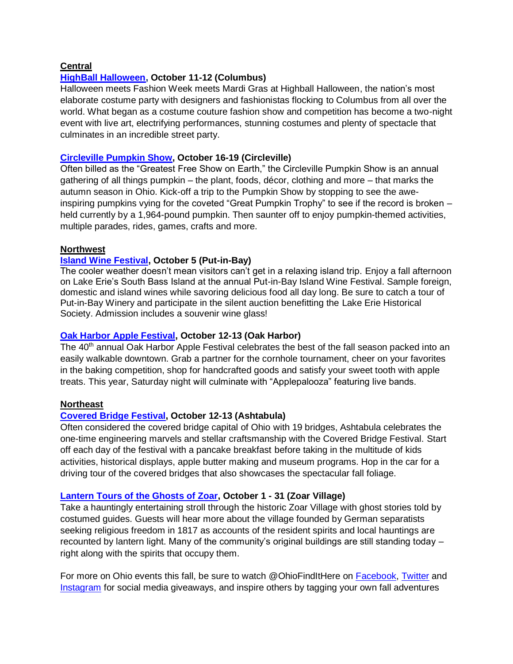## **Central**

## **[HighBall Halloween,](https://highballcolumbus.org/) October 11-12 (Columbus)**

Halloween meets Fashion Week meets Mardi Gras at Highball Halloween, the nation's most elaborate costume party with designers and fashionistas flocking to Columbus from all over the world. What began as a costume couture fashion show and competition has become a two-night event with live art, electrifying performances, stunning costumes and plenty of spectacle that culminates in an incredible street party.

## **[Circleville Pumpkin Show,](https://ohio.org/festivals-events/event/circleville-pumpkin-show-2/) October 16-19 (Circleville)**

Often billed as the "Greatest Free Show on Earth," the Circleville Pumpkin Show is an annual gathering of all things pumpkin – the plant, foods, décor, clothing and more – that marks the autumn season in Ohio. Kick-off a trip to the Pumpkin Show by stopping to see the aweinspiring pumpkins vying for the coveted "Great Pumpkin Trophy" to see if the record is broken – held currently by a 1,964-pound pumpkin. Then saunter off to enjoy pumpkin-themed activities, multiple parades, rides, games, crafts and more.

## **Northwest**

## **[Island Wine Festival,](https://ohio.org/festivals-events/event/island-wine-festival/) October 5 (Put-in-Bay)**

The cooler weather doesn't mean visitors can't get in a relaxing island trip. Enjoy a fall afternoon on Lake Erie's South Bass Island at the annual Put-in-Bay Island Wine Festival. Sample foreign, domestic and island wines while savoring delicious food all day long. Be sure to catch a tour of Put-in-Bay Winery and participate in the silent auction benefitting the Lake Erie Historical Society. Admission includes a souvenir wine glass!

#### **[Oak Harbor Apple Festival,](https://www.oakharborohio.net/apple-festival.html) October 12-13 (Oak Harbor)**

The 40<sup>th</sup> annual Oak Harbor Apple Festival celebrates the best of the fall season packed into an easily walkable downtown. Grab a partner for the cornhole tournament, cheer on your favorites in the baking competition, shop for handcrafted goods and satisfy your sweet tooth with apple treats. This year, Saturday night will culminate with "Applepalooza" featuring live bands.

#### **Northeast**

# **[Covered Bridge Festival,](http://www.coveredbridgefestival.org/) October 12-13 (Ashtabula)**

Often considered the covered bridge capital of Ohio with 19 bridges, Ashtabula celebrates the one-time engineering marvels and stellar craftsmanship with the Covered Bridge Festival. Start off each day of the festival with a pancake breakfast before taking in the multitude of kids activities, historical displays, apple butter making and museum programs. Hop in the car for a driving tour of the covered bridges that also showcases the spectacular fall foliage.

#### **[Lantern Tours of the Ghosts of Zoar,](https://ohio.org/festivals-events/event/lantern-tours-of-the-ghosts-of-zoar/) October 1 - 31 (Zoar Village)**

Take a hauntingly entertaining stroll through the historic Zoar Village with ghost stories told by costumed guides. Guests will hear more about the village founded by German separatists seeking religious freedom in 1817 as accounts of the resident spirits and local hauntings are recounted by lantern light. Many of the community's original buildings are still standing today – right along with the spirits that occupy them.

For more on Ohio events this fall, be sure to watch @OhioFindItHere on [Facebook,](https://www.facebook.com/OhioFindItHere) [Twitter](https://twitter.com/OhioFinditHere) and [Instagram](https://www.instagram.com/ohio.findithere/) for social media giveaways, and inspire others by tagging your own fall adventures